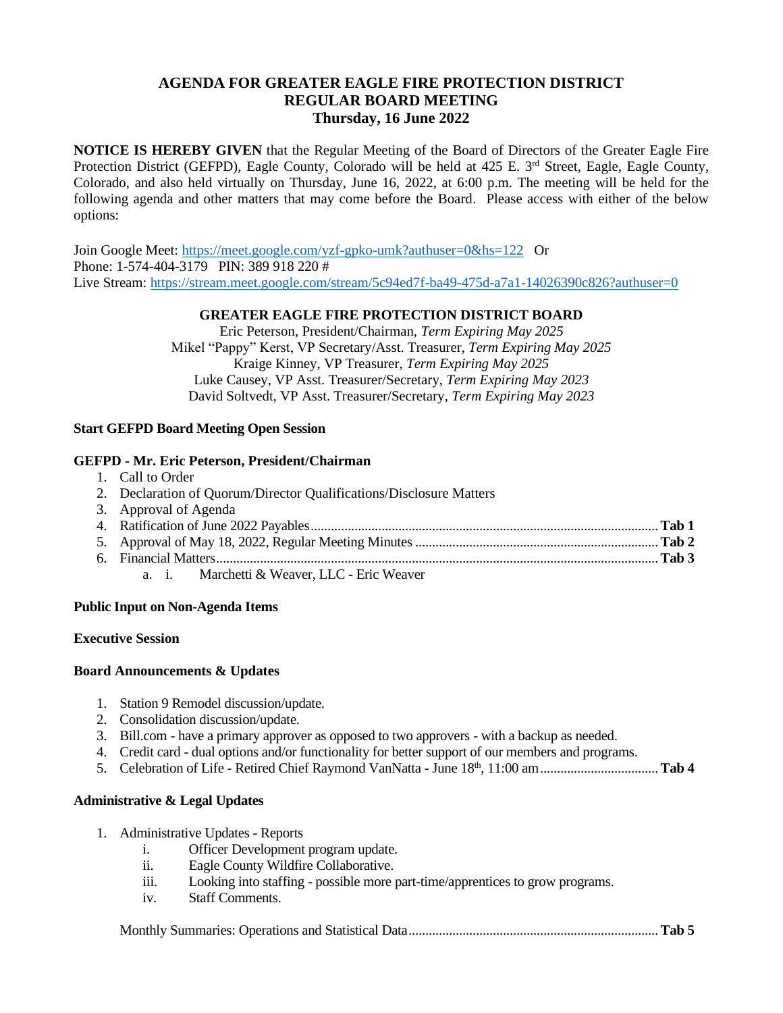## **AGENDA FOR GREATER EAGLE FIRE PROTECTION DISTRICT REGULAR BOARD MEETING Thursday, 16 June 2022**

**NOTICE IS HEREBY GIVEN** that the Regular Meeting of the Board of Directors of the Greater Eagle Fire Protection District (GEFPD), Eagle County, Colorado will be held at 425 E. 3<sup>rd</sup> Street, Eagle, Eagle County, Colorado, and also held virtually on Thursday, June 16, 2022, at 6:00 p.m. The meeting will be held for the following agenda and other matters that may come before the Board. Please access with either of the below options:

Join Google Meet: <https://meet.google.com/yzf-gpko-umk?authuser=0&hs=122>Or Phone: 1-574-404-3179 PIN: 389 918 220 # Live Stream:<https://stream.meet.google.com/stream/5c94ed7f-ba49-475d-a7a1-14026390c826?authuser=0>

### **GREATER EAGLE FIRE PROTECTION DISTRICT BOARD**

Eric Peterson, President/Chairman, *Term Expiring May 2025* Mikel "Pappy" Kerst, VP Secretary/Asst. Treasurer, *Term Expiring May 2025* Kraige Kinney, VP Treasurer, *Term Expiring May 2025* Luke Causey, VP Asst. Treasurer/Secretary, *Term Expiring May 2023* David Soltvedt, VP Asst. Treasurer/Secretary, *Term Expiring May 2023*

# **Start GEFPD Board Meeting Open Session**

### **GEFPD - Mr. Eric Peterson, President/Chairman**

- 1. Call to Order
- 2. Declaration of Quorum/Director Qualifications/Disclosure Matters
- 3. Approval of Agenda

| a. i. Marchetti & Weaver, LLC - Eric Weaver |  |
|---------------------------------------------|--|

#### **Public Input on Non-Agenda Items**

#### **Executive Session**

### **Board Announcements & Updates**

- 1. Station 9 Remodel discussion/update.
- 2. Consolidation discussion/update.
- 3. Bill.com have a primary approver as opposed to two approvers with a backup as needed.
- 4. Credit card dual options and/or functionality for better support of our members and programs.
- 5. Celebration of Life Retired Chief Raymond VanNatta June 18th , 11:00 am...................................**Tab 4**

### **Administrative & Legal Updates**

- 1. Administrative Updates Reports
	- i. Officer Development program update.
	- ii. Eagle County Wildfire Collaborative.
	- iii. Looking into staffing possible more part-time/apprentices to grow programs.
	- iv. Staff Comments.

Monthly Summaries: Operations and Statistical Data..........................................................................**Tab 5**